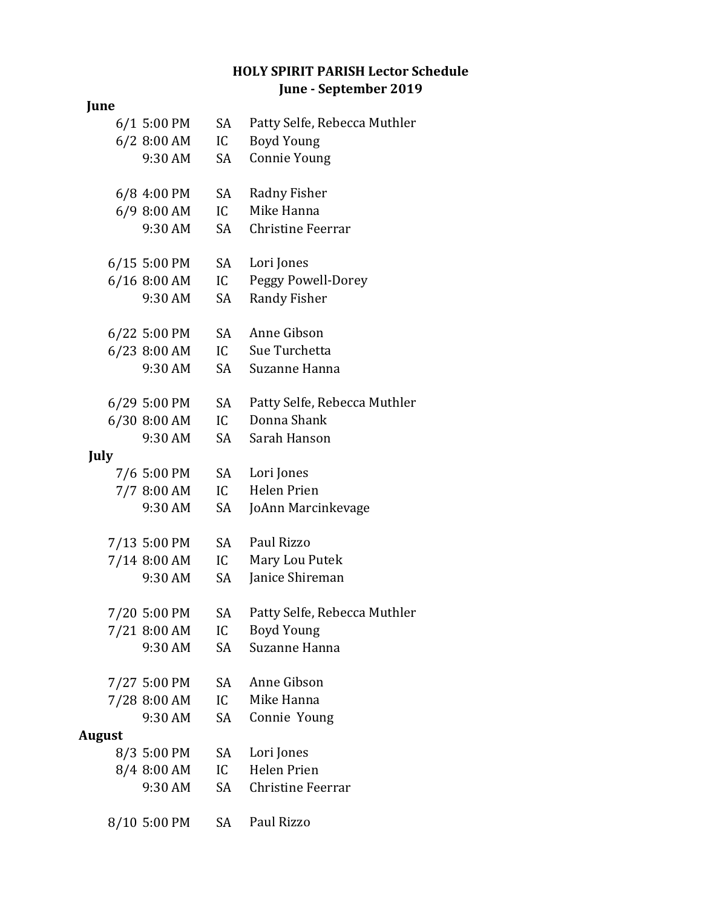## **HOLY SPIRIT PARISH Lector Schedule June - September 2019**

## **June** 6/1 5:00 PM SA Patty Selfe, Rebecca Muthler 6/2 8:00 AM IC Boyd Young 9:30 AM SA Connie Young 6/8 4:00 PM SA Radny Fisher 6/9 8:00 AM IC Mike Hanna 9:30 AM SA Christine Feerrar 6/15 5:00 PM SA Lori Jones 6/16 8:00 AM IC Peggy Powell-Dorey 9:30 AM SA Randy Fisher 6/22 5:00 PM SA Anne Gibson 6/23 8:00 AM IC Sue Turchetta 9:30 AM SA Suzanne Hanna 6/29 5:00 PM SA Patty Selfe, Rebecca Muthler 6/30 8:00 AM IC Donna Shank 9:30 AM SA Sarah Hanson **July** 7/6 5:00 PM SA Lori Jones 7/7 8:00 AM IC Helen Prien 9:30 AM SA JoAnn Marcinkevage 7/13 5:00 PM SA Paul Rizzo 7/14 8:00 AM IC Mary Lou Putek 9:30 AM SA Janice Shireman 7/20 5:00 PM SA Patty Selfe, Rebecca Muthler 7/21 8:00 AM IC Boyd Young 9:30 AM SA Suzanne Hanna 7/27 5:00 PM SA Anne Gibson 7/28 8:00 AM IC Mike Hanna 9:30 AM SA Connie Young **August** 8/3 5:00 PM SA Lori Jones 8/4 8:00 AM IC Helen Prien 9:30 AM SA Christine Feerrar

8/10 5:00 PM SA Paul Rizzo